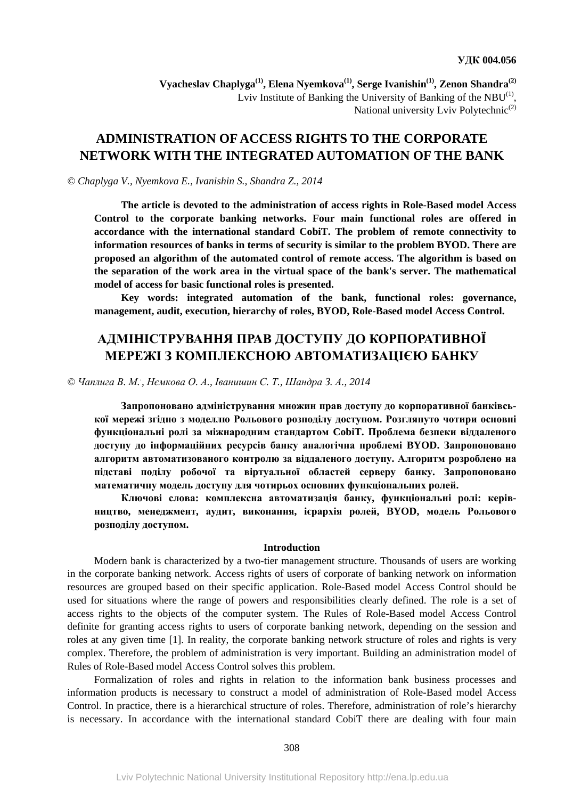Vyacheslav Chaplyga<sup>(1)</sup>, Elena Nyemkova<sup>(1)</sup>, Serge Ivanishin<sup>(1)</sup>, Zenon Shandra<sup>(2)</sup> Lviv Institute of Banking the University of Banking of the  $NBU^{(1)}$ , National university Lviv Polytechnic<sup>(2)</sup>

## **ADMINISTRATION OF ACCESS RIGHTS TO THE CORPORATE NETWORK WITH THE INTEGRATED AUTOMATION OF THE BANK**

## *© Chaplyga V., Nyemkova E., Ivanishin S., Shandra Z., 2014*

**The article is devoted to the administration of access rights in Role-Based model Access Control to the corporate banking networks. Four main functional roles are offered in accordance with the international standard CobiT. The problem of remote connectivity to information resources of banks in terms of security is similar to the problem BYOD. There are proposed an algorithm of the automated control of remote access. The algorithm is based on the separation of the work area in the virtual space of the bank's server. The mathematical model of access for basic functional roles is presented.** 

**Key words: integrated automation of the bank, functional roles: governance, management, audit, execution, hierarchy of roles, BYOD, Role-Based model Access Control.** 

# **АДМІНІСТРУВАННЯ ПРАВ ДОСТУПУ ДО КОРПОРАТИВНОЇ МЕРЕЖІ З КОМПЛЕКСНОЮ АВТОМАТИЗАЦІЄЮ БАНКУ**

© Чаплига В. М., Немкова О. А., Іванишин С. Т., Шандра З. А., 2014

**Запропоновано адміністрування множин прав доступу до корпоративної банківської мережі згідно з моделлю Рольового розподілу доступом. Розглянуто чотири основні функціональні ролі за міжнародним стандартом CobiT. Проблема безпеки віддаленого доступу до інформаційних ресурсів банку аналогічна проблемі BYOD. Запропоновано алгоритм автоматизованого контролю за віддаленого доступу. Алгоритм розроблено на підставі поділу робочої та віртуальної областей серверу банку. Запропоновано математичну модель доступу для чотирьох основних функціональних ролей.** 

**Ключові слова: комплексна автоматизація банку, функціональні ролі: керівництво, менеджмент, аудит, виконання, ієрархія ролей, BYOD, модель Рольового розподілу доступом.** 

#### **Introduction**

Modern bank is characterized by a two-tier management structure. Thousands of users are working in the corporate banking network. Access rights of users of corporate of banking network on information resources are grouped based on their specific application. Role-Based model Access Control should be used for situations where the range of powers and responsibilities clearly defined. The role is a set of access rights to the objects of the computer system. The Rules of Role-Based model Access Control definite for granting access rights to users of corporate banking network, depending on the session and roles at any given time [1]. In reality, the corporate banking network structure of roles and rights is very complex. Therefore, the problem of administration is very important. Building an administration model of Rules of Role-Based model Access Control solves this problem.

Formalization of roles and rights in relation to the information bank business processes and information products is necessary to construct a model of administration of Role-Based model Access Control. In practice, there is a hierarchical structure of roles. Therefore, administration of role's hierarchy is necessary. In accordance with the international standard CobiT there are dealing with four main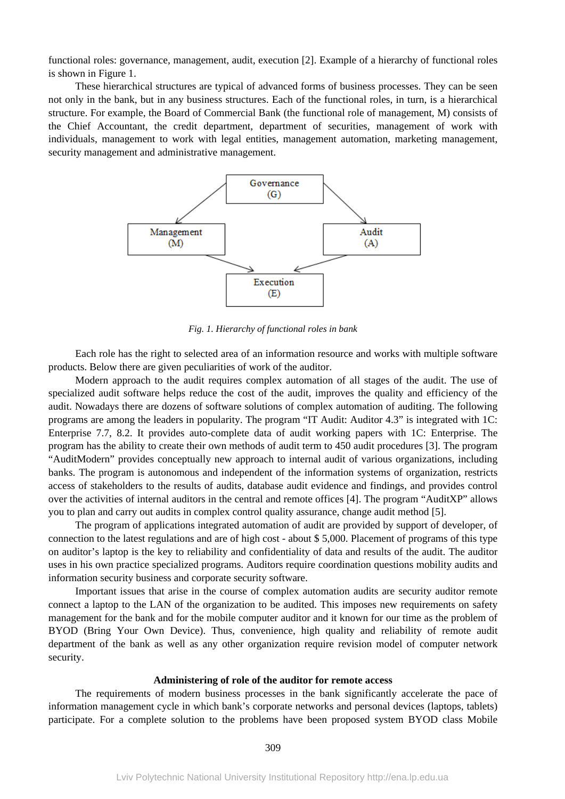functional roles: governance, management, audit, execution [2]. Example of a hierarchy of functional roles is shown in Figure 1.

These hierarchical structures are typical of advanced forms of business processes. They can be seen not only in the bank, but in any business structures. Each of the functional roles, in turn, is a hierarchical structure. For example, the Board of Commercial Bank (the functional role of management, M) consists of the Chief Accountant, the credit department, department of securities, management of work with individuals, management to work with legal entities, management automation, marketing management, security management and administrative management.



*Fig. 1. Hierarchy of functional roles in bank* 

Each role has the right to selected area of an information resource and works with multiple software products. Below there are given peculiarities of work of the auditor.

Modern approach to the audit requires complex automation of all stages of the audit. The use of specialized audit software helps reduce the cost of the audit, improves the quality and efficiency of the audit. Nowadays there are dozens of software solutions of complex automation of auditing. The following programs are among the leaders in popularity. The program "IT Audit: Auditor 4.3" is integrated with 1C: Enterprise 7.7, 8.2. It provides auto-complete data of audit working papers with 1C: Enterprise. The program has the ability to create their own methods of audit term to 450 audit procedures [3]. The program "AuditModern" provides conceptually new approach to internal audit of various organizations, including banks. The program is autonomous and independent of the information systems of organization, restricts access of stakeholders to the results of audits, database audit evidence and findings, and provides control over the activities of internal auditors in the central and remote offices [4]. The program "AuditXP" allows you to plan and carry out audits in complex control quality assurance, change audit method [5].

The program of applications integrated automation of audit are provided by support of developer, of connection to the latest regulations and are of high cost - about \$ 5,000. Placement of programs of this type on auditor's laptop is the key to reliability and confidentiality of data and results of the audit. The auditor uses in his own practice specialized programs. Auditors require coordination questions mobility audits and information security business and corporate security software.

Important issues that arise in the course of complex automation audits are security auditor remote connect a laptop to the LAN of the organization to be audited. This imposes new requirements on safety management for the bank and for the mobile computer auditor and it known for our time as the problem of BYOD (Bring Your Own Device). Thus, convenience, high quality and reliability of remote audit department of the bank as well as any other organization require revision model of computer network security.

### **Administering of role of the auditor for remote access**

The requirements of modern business processes in the bank significantly accelerate the pace of information management cycle in which bank's corporate networks and personal devices (laptops, tablets) participate. For a complete solution to the problems have been proposed system BYOD class Mobile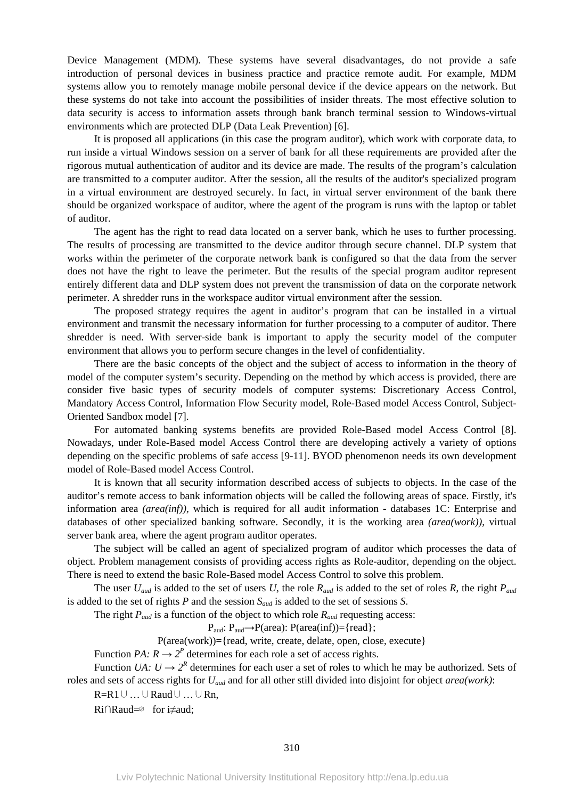Device Management (MDM). These systems have several disadvantages, do not provide a safe introduction of personal devices in business practice and practice remote audit. For example, MDM systems allow you to remotely manage mobile personal device if the device appears on the network. But these systems do not take into account the possibilities of insider threats. The most effective solution to data security is access to information assets through bank branch terminal session to Windows-virtual environments which are protected DLP (Data Leak Prevention) [6].

It is proposed all applications (in this case the program auditor), which work with corporate data, to run inside a virtual Windows session on a server of bank for all these requirements are provided after the rigorous mutual authentication of auditor and its device are made. The results of the program's calculation are transmitted to a computer auditor. After the session, all the results of the auditor's specialized program in a virtual environment are destroyed securely. In fact, in virtual server environment of the bank there should be organized workspace of auditor, where the agent of the program is runs with the laptop or tablet of auditor.

The agent has the right to read data located on a server bank, which he uses to further processing. The results of processing are transmitted to the device auditor through secure channel. DLP system that works within the perimeter of the corporate network bank is configured so that the data from the server does not have the right to leave the perimeter. But the results of the special program auditor represent entirely different data and DLP system does not prevent the transmission of data on the corporate network perimeter. A shredder runs in the workspace auditor virtual environment after the session.

The proposed strategy requires the agent in auditor's program that can be installed in a virtual environment and transmit the necessary information for further processing to a computer of auditor. There shredder is need. With server-side bank is important to apply the security model of the computer environment that allows you to perform secure changes in the level of confidentiality.

There are the basic concepts of the object and the subject of access to information in the theory of model of the computer system's security. Depending on the method by which access is provided, there are consider five basic types of security models of computer systems: Discretionary Access Control, Mandatory Access Control, Information Flow Security model, Role-Based model Access Control, Subject-Oriented Sandbox model [7].

For automated banking systems benefits are provided Role-Based model Access Control [8]. Nowadays, under Role-Based model Access Control there are developing actively a variety of options depending on the specific problems of safe access [9-11]. BYOD phenomenon needs its own development model of Role-Based model Access Control.

It is known that all security information described access of subjects to objects. In the case of the auditor's remote access to bank information objects will be called the following areas of space. Firstly, it's information area *(area(inf)),* which is required for all audit information - databases 1C: Enterprise and databases of other specialized banking software. Secondly, it is the working area *(area(work))*, virtual server bank area, where the agent program auditor operates.

The subject will be called an agent of specialized program of auditor which processes the data of object. Problem management consists of providing access rights as Role-auditor, depending on the object. There is need to extend the basic Role-Based model Access Control to solve this problem.

The user  $U_{aud}$  is added to the set of users *U*, the role  $R_{aud}$  is added to the set of roles *R*, the right  $P_{aud}$ is added to the set of rights *P* and the session *Saud* is added to the set of sessions *S*.

The right *Paud* is a function of the object to which role *Raud* requesting access:

 $P_{\text{aud}}: P_{\text{aud}} \rightarrow P(\text{area}): P(\text{area(inf)}) = \{ \text{read} \};$ 

 $P(\text{area}(work)) = \{read, write, create, delta, open, close, execute\}$ 

Function *PA:*  $R \rightarrow 2^P$  determines for each role a set of access rights.

Function *UA:*  $U \rightarrow 2^R$  determines for each user a set of roles to which he may be authorized. Sets of roles and sets of access rights for *Uaud* and for all other still divided into disjoint for object *area(work)*:

R=R1∪…∪Raud∪…∪Rn,

Ri∩Raud=∅ for i≠aud;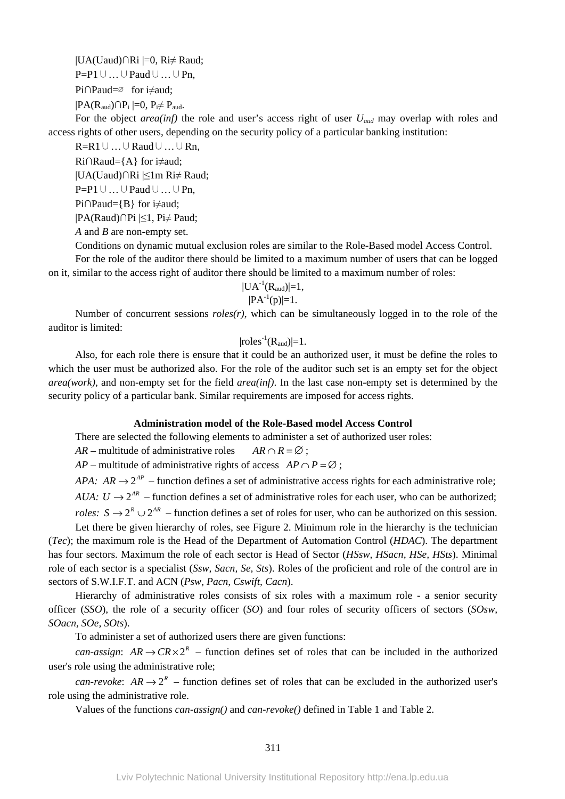|UA(Uaud)∩Ri |=0, Ri≠ Raud;

P=P1∪…∪Paud∪…∪Pn,

Pi∩Paud=∅ for i≠aud;

 $|PA(R_{\text{aud}}) \cap P_i| = 0$ ,  $P_i \neq P_{\text{aud}}$ .

For the object *area(inf)* the role and user's access right of user *Uaud* may overlap with roles and access rights of other users, depending on the security policy of a particular banking institution:

R=R1∪…∪Raud∪…∪Rn,  $Ri \cap \text{Rand} = \{A\}$  for i $\neq$  aud;

|UA(Uaud)∩Ri |≤1m Ri≠ Raud;

P=P1∪…∪Paud∪…∪Pn,

Pi∩Paud={B} for i≠aud;

|PA(Raud)∩Pi |≤1, Pi≠ Paud;

*A* and *B* are non-empty set.

Conditions on dynamic mutual exclusion roles are similar to the Role-Based model Access Control. For the role of the auditor there should be limited to a maximum number of users that can be logged on it, similar to the access right of auditor there should be limited to a maximum number of roles:

$$
\begin{array}{c} |UA^{-1}(R_{aud})|=1, \\ |PA^{-1}(p)|=1. \end{array}
$$

Number of concurrent sessions *roles(r)*, which can be simultaneously logged in to the role of the auditor is limited:

$$
|roles^{-1}(R_{aud})|\text{=}1.
$$

Also, for each role there is ensure that it could be an authorized user, it must be define the roles to which the user must be authorized also. For the role of the auditor such set is an empty set for the object *area(work)*, and non-empty set for the field *area(inf)*. In the last case non-empty set is determined by the security policy of a particular bank. Similar requirements are imposed for access rights.

## **Administration model of the Role-Based model Access Control**

There are selected the following elements to administer a set of authorized user roles:

*AR* – multitude of administrative roles  $AR \cap R = \emptyset$ :

*AP* – multitude of administrative rights of access  $AP \cap P = \emptyset$ :

*APA:*  $AR \rightarrow 2^{AP}$  – function defines a set of administrative access rights for each administrative role; *AUA:*  $U \rightarrow 2^{AR}$  *– function defines a set of administrative roles for each user, who can be authorized;* 

*roles:*  $S \rightarrow 2^{R} \cup 2^{AR}$  – function defines a set of roles for user, who can be authorized on this session. Let there be given hierarchy of roles, see Figure 2. Minimum role in the hierarchy is the technician

(*Tec*); the maximum role is the Head of the Department of Automation Control (*HDAC*). The department has four sectors. Maximum the role of each sector is Head of Sector (*HSsw, HSacn, HSe, HSts*). Minimal role of each sector is a specialist (*Ssw, Sacn, Se, Sts*). Roles of the proficient and role of the control are in sectors of S.W.I.F.T. and ACN (*Psw, Pacn, Cswift, Cacn*).

Hierarchy of administrative roles consists of six roles with a maximum role - a senior security officer (*SSO*), the role of a security officer (*SO*) and four roles of security officers of sectors (*SOsw, SOacn, SOe, SOts*).

To administer a set of authorized users there are given functions:

*can-assign:*  $AR \rightarrow CR \times 2^R$  – function defines set of roles that can be included in the authorized user's role using the administrative role;

*can-revoke*:  $AR \rightarrow 2^R$  – function defines set of roles that can be excluded in the authorized user's role using the administrative role.

Values of the functions *can-assign()* and *can-revoke()* defined in Table 1 and Table 2.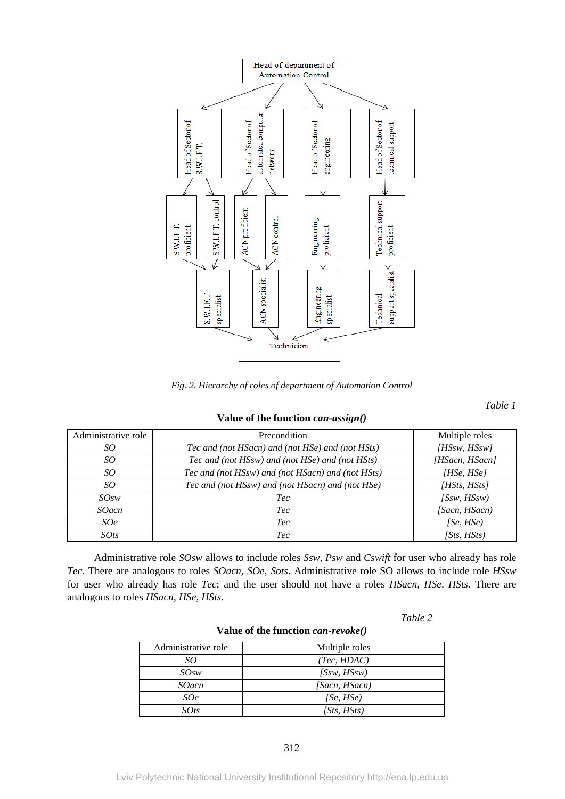

*Fig. 2. Hierarchy of roles of department of Automation Control* 

*Table 1* 

| Administrative role | Precondition                                      | Multiple roles |
|---------------------|---------------------------------------------------|----------------|
| SO                  | Tec and (not HSacn) and (not HSe) and (not HSts)  | [HSsw, HSsw]   |
| SO                  | Tec and (not HSsw) and (not HSe) and (not HSts)   | [HSacn, HSacn] |
| SO                  | Tec and (not HSsw) and (not HSacn) and (not HSts) | HSe, HSe       |
| SO                  | Tec and (not HSsw) and (not HSacn) and (not HSe)  | [HSts, HSts]   |
| SOSW                | <i>Tec</i>                                        | (SSw, HSSw)    |
| <b>SOacn</b>        | <i>Tec</i>                                        | [Sacn, HSacn]  |
| SOe                 | <i>Tec</i>                                        | [Se, HSe]      |
| $SO$ ts             | <i>Tec</i>                                        | (Sts, HSts)    |

#### **Value of the function** *can-assign()*

Administrative role *SOsw* allows to include roles *Ssw, Psw* and *Cswift* for user who already has role *Tec*. There are analogous to roles *SOacn, SOe, Sots*. Administrative role SO allows to include role *HSsw*  for user who already has role *Tec*; and the user should not have a roles *HSacn, HSe, HSts.* There are analogous to roles *HSacn, HSe, HSts*.

*Table 2* 

| Administrative role | Multiple roles |
|---------------------|----------------|
| SΟ                  | (Tec, HDAC)    |
| SOSW                | (SSw, HSSw)    |
| <i>SOacn</i>        | [Sacn, HSacn)  |
| <i>SOe</i>          | (Se, HSe)      |
| <i>SOts</i>         | [Sts, HSts]    |

### **Value of the function** *can-revoke()*